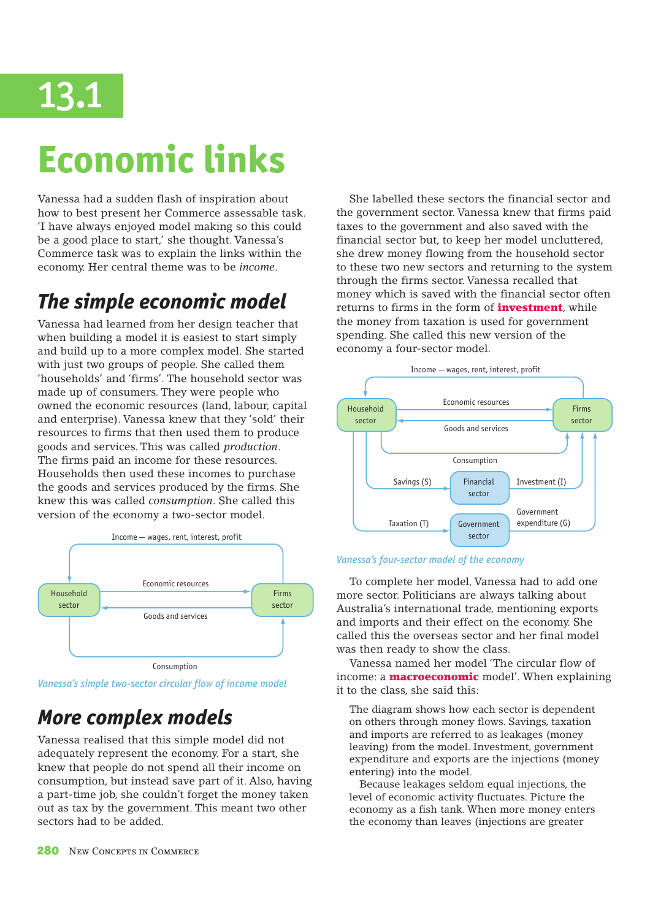

# **Economic links**

Vanessa had a sudden flash of inspiration about how to best present her Commerce assessable task. 'I have always enjoyed model making so this could be a good place to start,' she thought. Vanessa's Commerce task was to explain the links within the economy. Her central theme was to be *income*.

### *The simple economic model*

Vanessa had learned from her design teacher that when building a model it is easiest to start simply and build up to a more complex model. She started with just two groups of people. She called them 'households' and 'firms'. The household sector was made up of consumers. They were people who owned the economic resources (land, labour, capital and enterprise). Vanessa knew that they 'sold' their resources to firms that then used them to produce goods and services. This was called *production*. The firms paid an income for these resources. Households then used these incomes to purchase the goods and services produced by the firms. She knew this was called *consumption*. She called this version of the economy a two-sector model.



Consumption

*Vanessa's simple two-sector circular flow of income model*

### *More complex models*

Vanessa realised that this simple model did not adequately represent the economy. For a start, she knew that people do not spend all their income on consumption, but instead save part of it. Also, having a part-time job, she couldn't forget the money taken out as tax by the government. This meant two other sectors had to be added.

She labelled these sectors the financial sector and the government sector. Vanessa knew that firms paid taxes to the government and also saved with the financial sector but, to keep her model uncluttered, she drew money flowing from the household sector to these two new sectors and returning to the system through the firms sector. Vanessa recalled that money which is saved with the financial sector often returns to firms in the form of **investment**, while the money from taxation is used for government spending. She called this new version of the economy a four-sector model.



#### *Vanessa's four-sector model of the economy*

To complete her model, Vanessa had to add one more sector. Politicians are always talking about Australia's international trade, mentioning exports and imports and their effect on the economy. She called this the overseas sector and her final model was then ready to show the class.

Vanessa named her model 'The circular flow of income: a **macroeconomic** model'. When explaining it to the class, she said this:

The diagram shows how each sector is dependent on others through money flows. Savings, taxation and imports are referred to as leakages (money leaving) from the model. Investment, government expenditure and exports are the injections (money entering) into the model.

 Because leakages seldom equal injections, the level of economic activity fluctuates. Picture the economy as a fish tank. When more money enters the economy than leaves (injections are greater